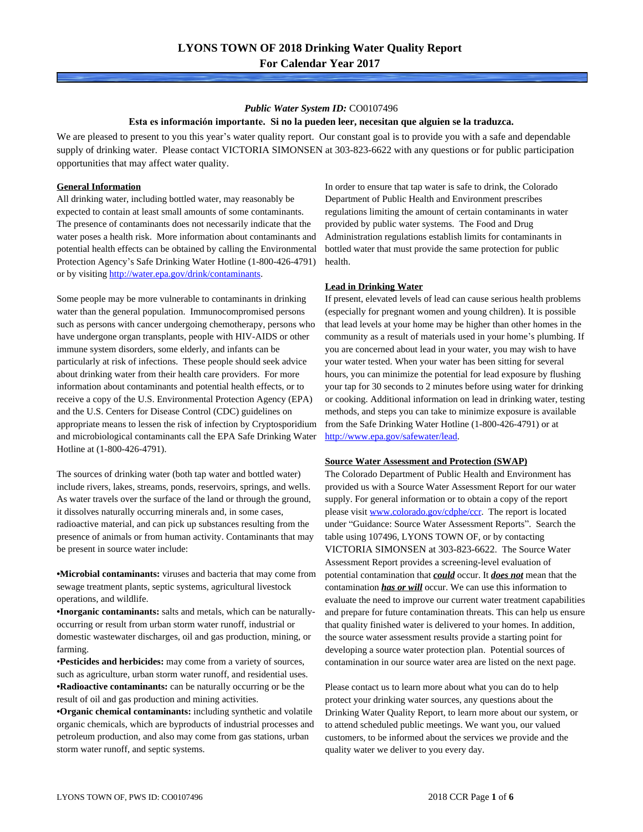#### *Public Water System ID:* CO0107496 **Esta es información importante. Si no la pueden leer, necesitan que alguien se la traduzca.**

We are pleased to present to you this year's water quality report. Our constant goal is to provide you with a safe and dependable supply of drinking water. Please contact VICTORIA SIMONSEN at 303-823-6622 with any questions or for public participation opportunities that may affect water quality.

#### **General Information**

All drinking water, including bottled water, may reasonably be expected to contain at least small amounts of some contaminants. The presence of contaminants does not necessarily indicate that the water poses a health risk. More information about contaminants and potential health effects can be obtained by calling the Environmental Protection Agency's Safe Drinking Water Hotline (1-800-426-4791) or by visiting <http://water.epa.gov/drink/contaminants>.

Some people may be more vulnerable to contaminants in drinking water than the general population. Immunocompromised persons such as persons with cancer undergoing chemotherapy, persons who have undergone organ transplants, people with HIV-AIDS or other immune system disorders, some elderly, and infants can be particularly at risk of infections. These people should seek advice about drinking water from their health care providers. For more information about contaminants and potential health effects, or to receive a copy of the U.S. Environmental Protection Agency (EPA) and the U.S. Centers for Disease Control (CDC) guidelines on appropriate means to lessen the risk of infection by Cryptosporidium and microbiological contaminants call the EPA Safe Drinking Water Hotline at (1-800-426-4791).

The sources of drinking water (both tap water and bottled water) include rivers, lakes, streams, ponds, reservoirs, springs, and wells. As water travels over the surface of the land or through the ground, it dissolves naturally occurring minerals and, in some cases, radioactive material, and can pick up substances resulting from the presence of animals or from human activity. Contaminants that may be present in source water include:

**•Microbial contaminants:** viruses and bacteria that may come from sewage treatment plants, septic systems, agricultural livestock operations, and wildlife.

**•Inorganic contaminants:** salts and metals, which can be naturallyoccurring or result from urban storm water runoff, industrial or domestic wastewater discharges, oil and gas production, mining, or farming.

•**Pesticides and herbicides:** may come from a variety of sources, such as agriculture, urban storm water runoff, and residential uses. **•Radioactive contaminants:** can be naturally occurring or be the result of oil and gas production and mining activities.

**•Organic chemical contaminants:** including synthetic and volatile organic chemicals, which are byproducts of industrial processes and petroleum production, and also may come from gas stations, urban storm water runoff, and septic systems.

In order to ensure that tap water is safe to drink, the Colorado Department of Public Health and Environment prescribes regulations limiting the amount of certain contaminants in water provided by public water systems. The Food and Drug Administration regulations establish limits for contaminants in bottled water that must provide the same protection for public health.

#### **Lead in Drinking Water**

If present, elevated levels of lead can cause serious health problems (especially for pregnant women and young children). It is possible that lead levels at your home may be higher than other homes in the community as a result of materials used in your home's plumbing. If you are concerned about lead in your water, you may wish to have your water tested. When your water has been sitting for several hours, you can minimize the potential for lead exposure by flushing your tap for 30 seconds to 2 minutes before using water for drinking or cooking. Additional information on lead in drinking water, testing methods, and steps you can take to minimize exposure is available from the Safe Drinking Water Hotline (1-800-426-4791) or at [http://www.epa.gov/safewater/lead.](http://www.epa.gov/safewater/lead)

#### **Source Water Assessment and Protection (SWAP)**

The Colorado Department of Public Health and Environment has provided us with a Source Water Assessment Report for our water supply. For general information or to obtain a copy of the report please visit [www.colorado.gov/cdphe/ccr.](https://www.colorado.gov/cdphe/ccr) The report is located under "Guidance: Source Water Assessment Reports". Search the table using 107496, LYONS TOWN OF, or by contacting VICTORIA SIMONSEN at 303-823-6622. The Source Water Assessment Report provides a screening-level evaluation of potential contamination that *could* occur. It *does not* mean that the contamination *has or will* occur. We can use this information to evaluate the need to improve our current water treatment capabilities and prepare for future contamination threats. This can help us ensure that quality finished water is delivered to your homes. In addition, the source water assessment results provide a starting point for developing a source water protection plan. Potential sources of contamination in our source water area are listed on the next page.

Please contact us to learn more about what you can do to help protect your drinking water sources, any questions about the Drinking Water Quality Report, to learn more about our system, or to attend scheduled public meetings. We want you, our valued customers, to be informed about the services we provide and the quality water we deliver to you every day.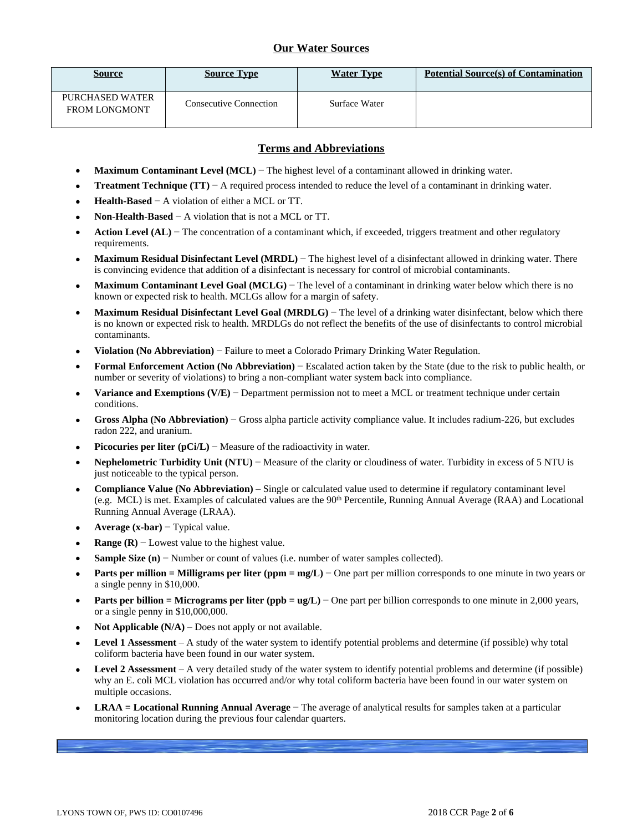### **Our Water Sources**

| <b>Source</b>                                  | <b>Source Type</b>            | <b>Water Type</b> | <b>Potential Source(s) of Contamination</b> |
|------------------------------------------------|-------------------------------|-------------------|---------------------------------------------|
| <b>PURCHASED WATER</b><br><b>FROM LONGMONT</b> | <b>Consecutive Connection</b> | Surface Water     |                                             |

### **Terms and Abbreviations**

- **Maximum Contaminant Level (MCL)** − The highest level of a contaminant allowed in drinking water.
- **Treatment Technique (TT)**  $A$  required process intended to reduce the level of a contaminant in drinking water.
- **Health-Based** − A violation of either a MCL or TT.
- **Non-Health-Based** − A violation that is not a MCL or TT.
- **Action Level (AL)** − The concentration of a contaminant which, if exceeded, triggers treatment and other regulatory requirements.
- **Maximum Residual Disinfectant Level (MRDL)** − The highest level of a disinfectant allowed in drinking water. There is convincing evidence that addition of a disinfectant is necessary for control of microbial contaminants.
- **Maximum Contaminant Level Goal (MCLG)** − The level of a contaminant in drinking water below which there is no known or expected risk to health. MCLGs allow for a margin of safety.
- **Maximum Residual Disinfectant Level Goal (MRDLG)** − The level of a drinking water disinfectant, below which there is no known or expected risk to health. MRDLGs do not reflect the benefits of the use of disinfectants to control microbial contaminants.
- **Violation (No Abbreviation)** − Failure to meet a Colorado Primary Drinking Water Regulation.
- **Formal Enforcement Action (No Abbreviation)** − Escalated action taken by the State (due to the risk to public health, or number or severity of violations) to bring a non-compliant water system back into compliance.
- **Variance and Exemptions (V/E)** − Department permission not to meet a MCL or treatment technique under certain conditions.
- **Gross Alpha (No Abbreviation)** − Gross alpha particle activity compliance value. It includes radium-226, but excludes radon 222, and uranium.
- **Picocuries per liter (pCi/L)** − Measure of the radioactivity in water.
- **Nephelometric Turbidity Unit (NTU)** − Measure of the clarity or cloudiness of water. Turbidity in excess of 5 NTU is just noticeable to the typical person.
- **Compliance Value (No Abbreviation)** Single or calculated value used to determine if regulatory contaminant level (e.g. MCL) is met. Examples of calculated values are the 90th Percentile, Running Annual Average (RAA) and Locational Running Annual Average (LRAA).
- **Average (x-bar)** − Typical value.
- **Range (R)**  $-$  Lowest value to the highest value.
- **Sample Size (n)** − Number or count of values (i.e. number of water samples collected).
- **Parts per million = Milligrams per liter (ppm = mg/L)** − One part per million corresponds to one minute in two years or a single penny in \$10,000.
- **Parts per billion = Micrograms per liter (ppb = ug/L)** − One part per billion corresponds to one minute in 2,000 years, or a single penny in \$10,000,000.
- **Not Applicable (N/A)** Does not apply or not available.
- **Level 1 Assessment** A study of the water system to identify potential problems and determine (if possible) why total coliform bacteria have been found in our water system.
- **Level 2 Assessment** A very detailed study of the water system to identify potential problems and determine (if possible) why an E. coli MCL violation has occurred and/or why total coliform bacteria have been found in our water system on multiple occasions.
- **LRAA = Locational Running Annual Average** − The average of analytical results for samples taken at a particular monitoring location during the previous four calendar quarters.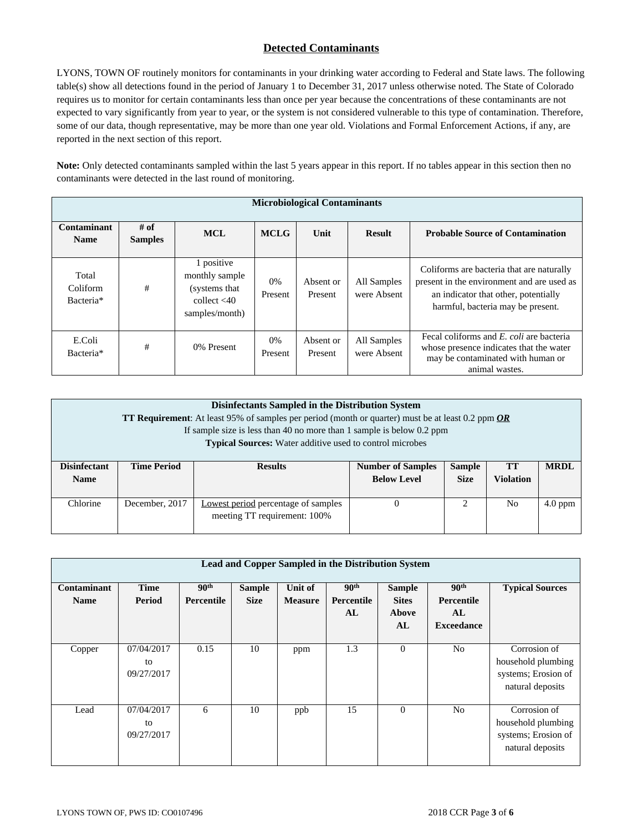# **Detected Contaminants**

LYONS, TOWN OF routinely monitors for contaminants in your drinking water according to Federal and State laws. The following table(s) show all detections found in the period of January 1 to December 31, 2017 unless otherwise noted. The State of Colorado requires us to monitor for certain contaminants less than once per year because the concentrations of these contaminants are not expected to vary significantly from year to year, or the system is not considered vulnerable to this type of contamination. Therefore, some of our data, though representative, may be more than one year old. Violations and Formal Enforcement Actions, if any, are reported in the next section of this report.

**Note:** Only detected contaminants sampled within the last 5 years appear in this report. If no tables appear in this section then no contaminants were detected in the last round of monitoring.

|                                | <b>Microbiological Contaminants</b> |                                                                                    |               |                      |                            |                                                                                                                                                                      |  |  |
|--------------------------------|-------------------------------------|------------------------------------------------------------------------------------|---------------|----------------------|----------------------------|----------------------------------------------------------------------------------------------------------------------------------------------------------------------|--|--|
| Contaminant<br><b>Name</b>     | $#$ of<br><b>Samples</b>            | <b>MCL</b>                                                                         | <b>MCLG</b>   | Unit                 | <b>Result</b>              | <b>Probable Source of Contamination</b>                                                                                                                              |  |  |
| Total<br>Coliform<br>Bacteria* | #                                   | 1 positive<br>monthly sample<br>(systems that)<br>collect $<$ 40<br>samples/month) | 0%<br>Present | Absent or<br>Present | All Samples<br>were Absent | Coliforms are bacteria that are naturally<br>present in the environment and are used as<br>an indicator that other, potentially<br>harmful, bacteria may be present. |  |  |
| E.Coli<br>Bacteria*            | #                                   | 0% Present                                                                         | 0%<br>Present | Absent or<br>Present | All Samples<br>were Absent | Fecal coliforms and E. coli are bacteria<br>whose presence indicates that the water<br>may be contaminated with human or<br>animal wastes.                           |  |  |

| Disinfectants Sampled in the Distribution System<br><b>TT Requirement:</b> At least 95% of samples per period (month or quarter) must be at least 0.2 ppm $OR$<br>If sample size is less than 40 no more than 1 sample is below 0.2 ppm<br><b>Typical Sources:</b> Water additive used to control microbes |                    |                                                                                         |                    |                               |                  |           |  |
|------------------------------------------------------------------------------------------------------------------------------------------------------------------------------------------------------------------------------------------------------------------------------------------------------------|--------------------|-----------------------------------------------------------------------------------------|--------------------|-------------------------------|------------------|-----------|--|
| <b>Disinfectant</b><br><b>Name</b>                                                                                                                                                                                                                                                                         | <b>Time Period</b> | <b>MRDL</b><br><b>Sample</b><br><b>Number of Samples</b><br><b>TT</b><br><b>Results</b> |                    |                               |                  |           |  |
|                                                                                                                                                                                                                                                                                                            |                    |                                                                                         | <b>Below Level</b> | <b>Size</b>                   | <b>Violation</b> |           |  |
| Chlorine                                                                                                                                                                                                                                                                                                   | December, 2017     | <b>Lowest period percentage of samples</b>                                              | 0                  | $\mathfrak{D}_{\mathfrak{p}}$ | N <sub>0</sub>   | $4.0$ ppm |  |
|                                                                                                                                                                                                                                                                                                            |                    | meeting TT requirement: 100%                                                            |                    |                               |                  |           |  |

|                            | Lead and Copper Sampled in the Distribution System |                                |                              |                                  |                                      |                                                     |                                                           |                                                                               |  |
|----------------------------|----------------------------------------------------|--------------------------------|------------------------------|----------------------------------|--------------------------------------|-----------------------------------------------------|-----------------------------------------------------------|-------------------------------------------------------------------------------|--|
| Contaminant<br><b>Name</b> | <b>Time</b><br>Period                              | 90 <sup>th</sup><br>Percentile | <b>Sample</b><br><b>Size</b> | <b>Unit of</b><br><b>Measure</b> | 90 <sup>th</sup><br>Percentile<br>AL | <b>Sample</b><br><b>Sites</b><br><b>Above</b><br>AL | 90 <sup>th</sup><br>Percentile<br>AL<br><b>Exceedance</b> | <b>Typical Sources</b>                                                        |  |
| Copper                     | 07/04/2017<br>to<br>09/27/2017                     | 0.15                           | 10                           | ppm                              | 1.3                                  | $\Omega$                                            | No                                                        | Corrosion of<br>household plumbing<br>systems; Erosion of<br>natural deposits |  |
| Lead                       | 07/04/2017<br>to<br>09/27/2017                     | 6                              | 10                           | ppb                              | 15                                   | $\mathbf{0}$                                        | N <sub>o</sub>                                            | Corrosion of<br>household plumbing<br>systems; Erosion of<br>natural deposits |  |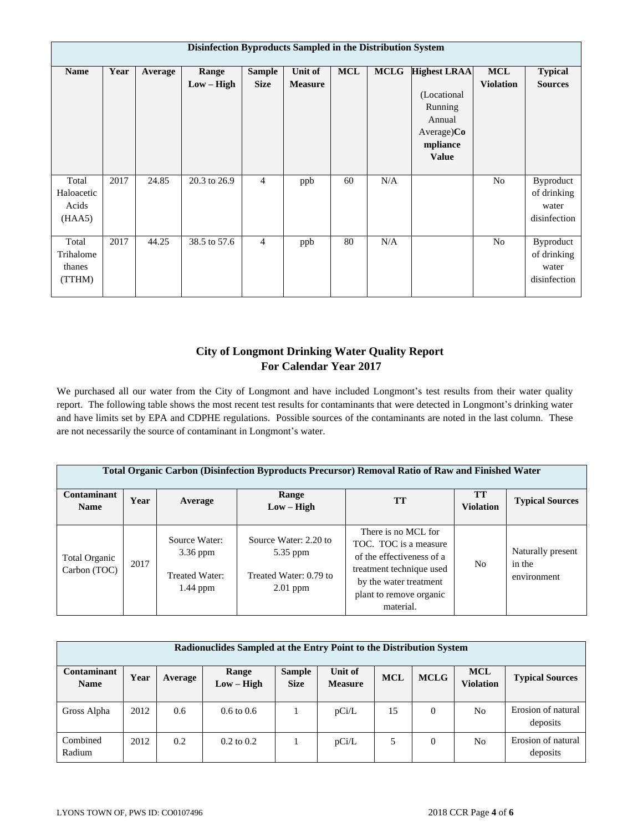|                                        | Disinfection Byproducts Sampled in the Distribution System |         |                       |                              |                           |            |             |                                                                                               |                                |                                                   |
|----------------------------------------|------------------------------------------------------------|---------|-----------------------|------------------------------|---------------------------|------------|-------------|-----------------------------------------------------------------------------------------------|--------------------------------|---------------------------------------------------|
| <b>Name</b>                            | Year                                                       | Average | Range<br>$Low - High$ | <b>Sample</b><br><b>Size</b> | Unit of<br><b>Measure</b> | <b>MCL</b> | <b>MCLG</b> | Highest LRAA<br>(Locational<br>Running<br>Annual<br>$Average)$ Co<br>mpliance<br><b>Value</b> | <b>MCL</b><br><b>Violation</b> | <b>Typical</b><br><b>Sources</b>                  |
| Total<br>Haloacetic<br>Acids<br>(HAA5) | 2017                                                       | 24.85   | 20.3 to 26.9          | $\overline{4}$               | ppb                       | 60         | N/A         |                                                                                               | No                             | Byproduct<br>of drinking<br>water<br>disinfection |
| Total<br>Trihalome<br>thanes<br>(TTHM) | 2017                                                       | 44.25   | 38.5 to 57.6          | $\overline{4}$               | ppb                       | 80         | N/A         |                                                                                               | No                             | Byproduct<br>of drinking<br>water<br>disinfection |

# **City of Longmont Drinking Water Quality Report For Calendar Year 2017**

We purchased all our water from the City of Longmont and have included Longmont's test results from their water quality report. The following table shows the most recent test results for contaminants that were detected in Longmont's drinking water and have limits set by EPA and CDPHE regulations. Possible sources of the contaminants are noted in the last column. These are not necessarily the source of contaminant in Longmont's water.

| <b>Total Organic Carbon (Disinfection Byproducts Precursor) Removal Ratio of Raw and Finished Water</b> |      |                                                                    |                                                                           |                                                                                                                                                                         |                        |                                            |  |  |  |
|---------------------------------------------------------------------------------------------------------|------|--------------------------------------------------------------------|---------------------------------------------------------------------------|-------------------------------------------------------------------------------------------------------------------------------------------------------------------------|------------------------|--------------------------------------------|--|--|--|
| <b>Contaminant</b><br><b>Name</b>                                                                       | Year | Average                                                            | Range<br>$Low - High$                                                     | <b>TT</b>                                                                                                                                                               | TT<br><b>Violation</b> | <b>Typical Sources</b>                     |  |  |  |
| Total Organic<br>Carbon (TOC)                                                                           | 2017 | Source Water:<br>$3.36$ ppm<br><b>Treated Water:</b><br>$1.44$ ppm | Source Water: 2.20 to<br>5.35 ppm<br>Treated Water: 0.79 to<br>$2.01$ ppm | There is no MCL for<br>TOC. TOC is a measure<br>of the effectiveness of a<br>treatment technique used<br>by the water treatment<br>plant to remove organic<br>material. | N <sub>o</sub>         | Naturally present<br>in the<br>environment |  |  |  |

| Radionuclides Sampled at the Entry Point to the Distribution System |      |         |                       |                              |                           |            |             |                                |                                |
|---------------------------------------------------------------------|------|---------|-----------------------|------------------------------|---------------------------|------------|-------------|--------------------------------|--------------------------------|
| Contaminant<br><b>Name</b>                                          | Year | Average | Range<br>$Low - High$ | <b>Sample</b><br><b>Size</b> | Unit of<br><b>Measure</b> | <b>MCL</b> | <b>MCLG</b> | <b>MCL</b><br><b>Violation</b> | <b>Typical Sources</b>         |
| Gross Alpha                                                         | 2012 | 0.6     | $0.6 \text{ to } 0.6$ |                              | pCi/L                     | 15         | $\theta$    | N <sub>o</sub>                 | Erosion of natural<br>deposits |
| Combined<br>Radium                                                  | 2012 | 0.2     | $0.2 \text{ to } 0.2$ |                              | pCi/L                     | 5          | $\theta$    | N <sub>0</sub>                 | Erosion of natural<br>deposits |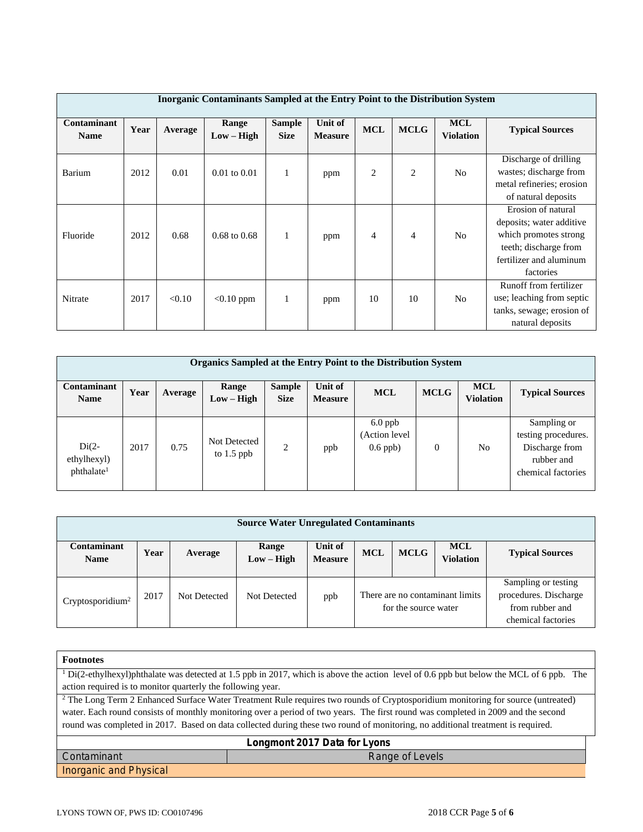|                                   | Inorganic Contaminants Sampled at the Entry Point to the Distribution System |         |                         |                              |                                  |            |                |                                |                                                                                                                                          |  |
|-----------------------------------|------------------------------------------------------------------------------|---------|-------------------------|------------------------------|----------------------------------|------------|----------------|--------------------------------|------------------------------------------------------------------------------------------------------------------------------------------|--|
| <b>Contaminant</b><br><b>Name</b> | Year                                                                         | Average | Range<br>$Low - High$   | <b>Sample</b><br><b>Size</b> | <b>Unit of</b><br><b>Measure</b> | <b>MCL</b> | <b>MCLG</b>    | <b>MCL</b><br><b>Violation</b> | <b>Typical Sources</b>                                                                                                                   |  |
| Barium                            | 2012                                                                         | 0.01    | $0.01$ to $0.01$        | $\mathbf{1}$                 | ppm                              | 2          | $\overline{2}$ | N <sub>o</sub>                 | Discharge of drilling<br>wastes; discharge from<br>metal refineries; erosion<br>of natural deposits                                      |  |
| Fluoride                          | 2012                                                                         | 0.68    | $0.68 \text{ to } 0.68$ | 1                            | ppm                              | 4          | $\overline{4}$ | N <sub>o</sub>                 | Erosion of natural<br>deposits; water additive<br>which promotes strong<br>teeth; discharge from<br>fertilizer and aluminum<br>factories |  |
| Nitrate                           | 2017                                                                         | < 0.10  | $< 0.10$ ppm            | 1                            | ppm                              | 10         | 10             | N <sub>o</sub>                 | Runoff from fertilizer<br>use; leaching from septic<br>tanks, sewage; erosion of<br>natural deposits                                     |  |

| <b>Organics Sampled at the Entry Point to the Distribution System</b> |      |         |                              |                              |                           |                                          |                |                                |                                                                                          |
|-----------------------------------------------------------------------|------|---------|------------------------------|------------------------------|---------------------------|------------------------------------------|----------------|--------------------------------|------------------------------------------------------------------------------------------|
| Contaminant<br><b>Name</b>                                            | Year | Average | Range<br>Low – High          | <b>Sample</b><br><b>Size</b> | Unit of<br><b>Measure</b> | <b>MCL</b>                               | <b>MCLG</b>    | <b>MCL</b><br><b>Violation</b> | <b>Typical Sources</b>                                                                   |
| $Di(2-$<br>ethylhexyl)<br>phthalate <sup>1</sup>                      | 2017 | 0.75    | Not Detected<br>to $1.5$ ppb | 2                            | ppb                       | $6.0$ ppb<br>(Action level<br>$0.6$ ppb) | $\overline{0}$ | No.                            | Sampling or<br>testing procedures.<br>Discharge from<br>rubber and<br>chemical factories |

| <b>Source Water Unregulated Contaminants</b> |      |              |                       |                           |                                                         |             |                         |                                                                                       |
|----------------------------------------------|------|--------------|-----------------------|---------------------------|---------------------------------------------------------|-------------|-------------------------|---------------------------------------------------------------------------------------|
| Contaminant<br><b>Name</b>                   | Year | Average      | Range<br>$Low - High$ | Unit of<br><b>Measure</b> | <b>MCL</b>                                              | <b>MCLG</b> | MCL<br><b>Violation</b> | <b>Typical Sources</b>                                                                |
| Cryptosporidium <sup>2</sup>                 | 2017 | Not Detected | Not Detected          | ppb                       | There are no contaminant limits<br>for the source water |             |                         | Sampling or testing<br>procedures. Discharge<br>from rubber and<br>chemical factories |

| <b>Footnotes</b>                                                                                                                            |                                                                                                                                                    |  |  |  |  |  |  |
|---------------------------------------------------------------------------------------------------------------------------------------------|----------------------------------------------------------------------------------------------------------------------------------------------------|--|--|--|--|--|--|
|                                                                                                                                             | <sup>1</sup> Di(2-ethylhexyl)phthalate was detected at 1.5 ppb in 2017, which is above the action level of 0.6 ppb but below the MCL of 6 ppb. The |  |  |  |  |  |  |
| action required is to monitor quarterly the following year.                                                                                 |                                                                                                                                                    |  |  |  |  |  |  |
| <sup>2</sup> The Long Term 2 Enhanced Surface Water Treatment Rule requires two rounds of Cryptosporidium monitoring for source (untreated) |                                                                                                                                                    |  |  |  |  |  |  |
|                                                                                                                                             | water. Each round consists of monthly monitoring over a period of two years. The first round was completed in 2009 and the second                  |  |  |  |  |  |  |
|                                                                                                                                             | round was completed in 2017. Based on data collected during these two round of monitoring, no additional treatment is required.                    |  |  |  |  |  |  |
| Longmont 2017 Data for Lyons                                                                                                                |                                                                                                                                                    |  |  |  |  |  |  |
| Contaminant                                                                                                                                 | Range of Levels                                                                                                                                    |  |  |  |  |  |  |
| Inorganic and Physical                                                                                                                      |                                                                                                                                                    |  |  |  |  |  |  |